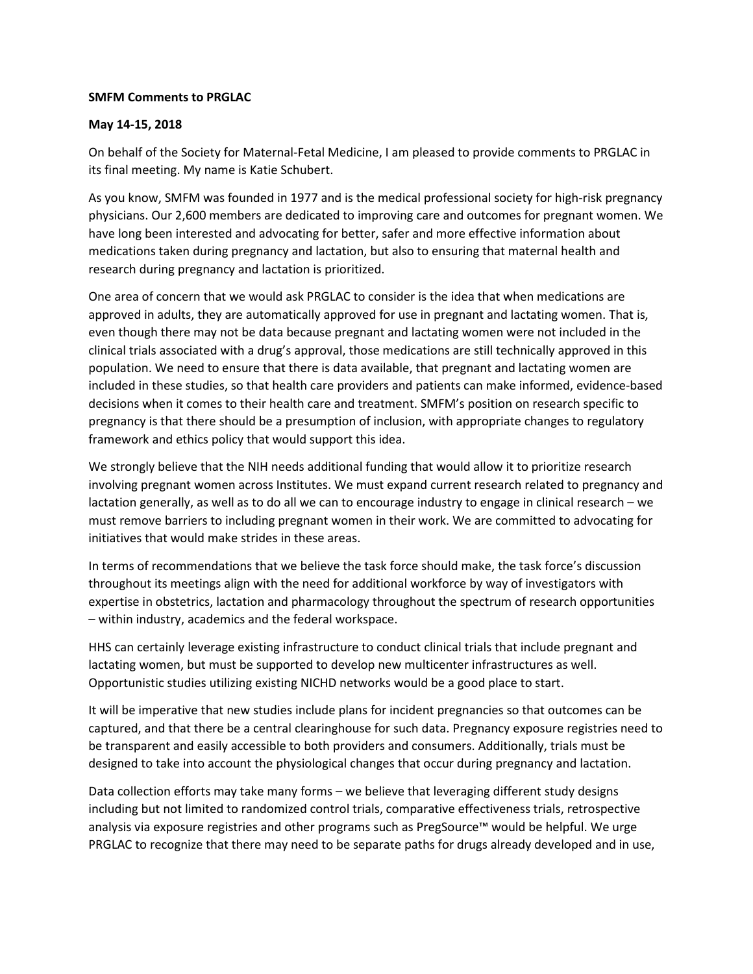## **SMFM Comments to PRGLAC**

## **May 14-15, 2018**

On behalf of the Society for Maternal-Fetal Medicine, I am pleased to provide comments to PRGLAC in its final meeting. My name is Katie Schubert.

As you know, SMFM was founded in 1977 and is the medical professional society for high-risk pregnancy physicians. Our 2,600 members are dedicated to improving care and outcomes for pregnant women. We have long been interested and advocating for better, safer and more effective information about medications taken during pregnancy and lactation, but also to ensuring that maternal health and research during pregnancy and lactation is prioritized.

One area of concern that we would ask PRGLAC to consider is the idea that when medications are approved in adults, they are automatically approved for use in pregnant and lactating women. That is, even though there may not be data because pregnant and lactating women were not included in the clinical trials associated with a drug's approval, those medications are still technically approved in this population. We need to ensure that there is data available, that pregnant and lactating women are included in these studies, so that health care providers and patients can make informed, evidence-based decisions when it comes to their health care and treatment. SMFM's position on research specific to pregnancy is that there should be a presumption of inclusion, with appropriate changes to regulatory framework and ethics policy that would support this idea.

We strongly believe that the NIH needs additional funding that would allow it to prioritize research involving pregnant women across Institutes. We must expand current research related to pregnancy and lactation generally, as well as to do all we can to encourage industry to engage in clinical research – we must remove barriers to including pregnant women in their work. We are committed to advocating for initiatives that would make strides in these areas.

In terms of recommendations that we believe the task force should make, the task force's discussion throughout its meetings align with the need for additional workforce by way of investigators with expertise in obstetrics, lactation and pharmacology throughout the spectrum of research opportunities – within industry, academics and the federal workspace.

HHS can certainly leverage existing infrastructure to conduct clinical trials that include pregnant and lactating women, but must be supported to develop new multicenter infrastructures as well. Opportunistic studies utilizing existing NICHD networks would be a good place to start.

It will be imperative that new studies include plans for incident pregnancies so that outcomes can be captured, and that there be a central clearinghouse for such data. Pregnancy exposure registries need to be transparent and easily accessible to both providers and consumers. Additionally, trials must be designed to take into account the physiological changes that occur during pregnancy and lactation.

Data collection efforts may take many forms – we believe that leveraging different study designs including but not limited to randomized control trials, comparative effectiveness trials, retrospective analysis via exposure registries and other programs such as PregSource™ would be helpful. We urge PRGLAC to recognize that there may need to be separate paths for drugs already developed and in use,